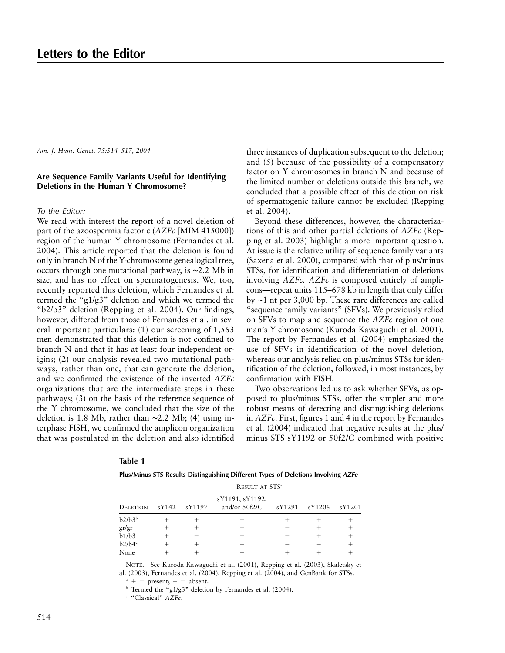*Am. J. Hum. Genet. 75:514–517, 2004*

# **Are Sequence Family Variants Useful for Identifying Deletions in the Human Y Chromosome?**

## *To the Editor:*

We read with interest the report of a novel deletion of part of the azoospermia factor c (*AZFc* [MIM 415000]) region of the human Y chromosome (Fernandes et al. 2004). This article reported that the deletion is found only in branch N of the Y-chromosome genealogical tree, occurs through one mutational pathway, is ∼2.2 Mb in size, and has no effect on spermatogenesis. We, too, recently reported this deletion, which Fernandes et al. termed the "g1/g3" deletion and which we termed the "b2/b3" deletion (Repping et al. 2004). Our findings, however, differed from those of Fernandes et al. in several important particulars: (1) our screening of 1,563 men demonstrated that this deletion is not confined to branch N and that it has at least four independent origins; (2) our analysis revealed two mutational pathways, rather than one, that can generate the deletion, and we confirmed the existence of the inverted *AZFc* organizations that are the intermediate steps in these pathways; (3) on the basis of the reference sequence of the Y chromosome, we concluded that the size of the deletion is 1.8 Mb, rather than ∼2.2 Mb; (4) using interphase FISH, we confirmed the amplicon organization that was postulated in the deletion and also identified

three instances of duplication subsequent to the deletion; and (5) because of the possibility of a compensatory factor on Y chromosomes in branch N and because of the limited number of deletions outside this branch, we concluded that a possible effect of this deletion on risk of spermatogenic failure cannot be excluded (Repping et al. 2004).

Beyond these differences, however, the characterizations of this and other partial deletions of *AZFc* (Repping et al. 2003) highlight a more important question. At issue is the relative utility of sequence family variants (Saxena et al. 2000), compared with that of plus/minus STSs, for identification and differentiation of deletions involving *AZFc. AZFc* is composed entirely of amplicons—repeat units 115–678 kb in length that only differ by ∼1 nt per 3,000 bp. These rare differences are called "sequence family variants" (SFVs). We previously relied on SFVs to map and sequence the *AZFc* region of one man's Y chromosome (Kuroda-Kawaguchi et al. 2001). The report by Fernandes et al. (2004) emphasized the use of SFVs in identification of the novel deletion, whereas our analysis relied on plus/minus STSs for identification of the deletion, followed, in most instances, by confirmation with FISH.

Two observations led us to ask whether SFVs, as opposed to plus/minus STSs, offer the simpler and more robust means of detecting and distinguishing deletions in *AZFc.* First, figures 1 and 4 in the report by Fernandes et al. (2004) indicated that negative results at the plus/ minus STS sY1192 or 50f2/C combined with positive

|                    |                            | $\cdot$ | . .                                |        |        | $\cdot$ |  |
|--------------------|----------------------------|---------|------------------------------------|--------|--------|---------|--|
|                    | RESULT AT STS <sup>a</sup> |         |                                    |        |        |         |  |
| DELETION           | sY142                      | sY1197  | sY1191, sY1192,<br>and/or $50f2/C$ | sY1291 | sY1206 | sY1201  |  |
| b2/b3 <sup>b</sup> |                            |         |                                    |        |        |         |  |
| gr/gr              |                            |         |                                    |        |        |         |  |
| b1/b3              |                            |         |                                    |        |        |         |  |
| b2/b4 <sup>c</sup> |                            |         |                                    |        |        |         |  |
| None               |                            |         |                                    |        |        |         |  |

| ٠ | n | וחו |  |
|---|---|-----|--|
|---|---|-----|--|

**Plus/Minus STS Results Distinguishing Different Types of Deletions Involving** *AZFc*

NOTE.—See Kuroda-Kawaguchi et al. (2001), Repping et al. (2003), Skaletsky et al. (2003), Fernandes et al. (2004), Repping et al. (2004), and GenBank for STSs.

 $a^*$  + = present; - = absent.

<sup>b</sup> Termed the "g1/g3" deletion by Fernandes et al. (2004).

<sup>c</sup> "Classical" *AZFc.*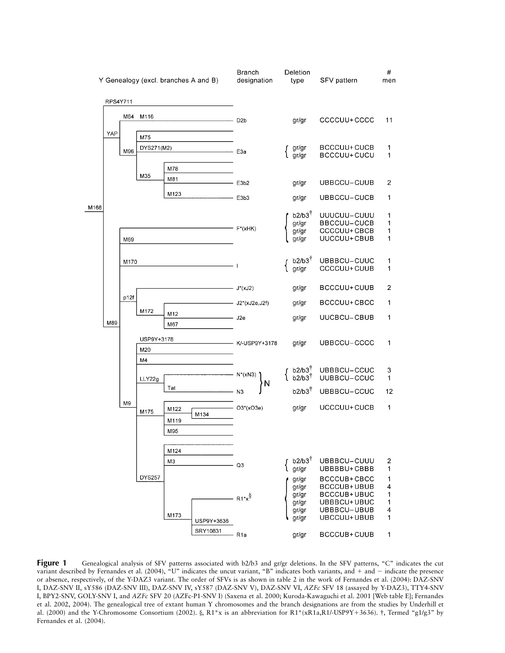

**Figure 1** Genealogical analysis of SFV patterns associated with b2/b3 and gr/gr deletions. In the SFV patterns, "C" indicates the cut variant described by Fernandes et al. (2004), "U" indicates the uncut variant, "B" indicates both variants, and + and - indicate the presence or absence, respectively, of the Y-DAZ3 variant. The order of SFVs is as shown in table 2 in the work of Fernandes et al. (2004): DAZ-SNV I, DAZ-SNV II, sY586 (DAZ-SNV III), DAZ-SNV IV, sY587 (DAZ-SNV V), DAZ-SNV VI, *AZFc* SFV 18 (assayed by Y-DAZ3), TTY4-SNV I, BPY2-SNV, GOLY-SNV I, and *AZFc* SFV 20 (AZFc-P1-SNV I) (Saxena et al. 2000; Kuroda-Kawaguchi et al. 2001 [Web table E]; Fernandes et al. 2002, 2004). The genealogical tree of extant human Y chromosomes and the branch designations are from the studies by Underhill et al. (2000) and the Y-Chromosome Consortium (2002). §, R1\*x is an abbreviation for R1\*(xR1a,R1/-USP9Y+3636). †, Termed "g1/g3" by Fernandes et al. (2004).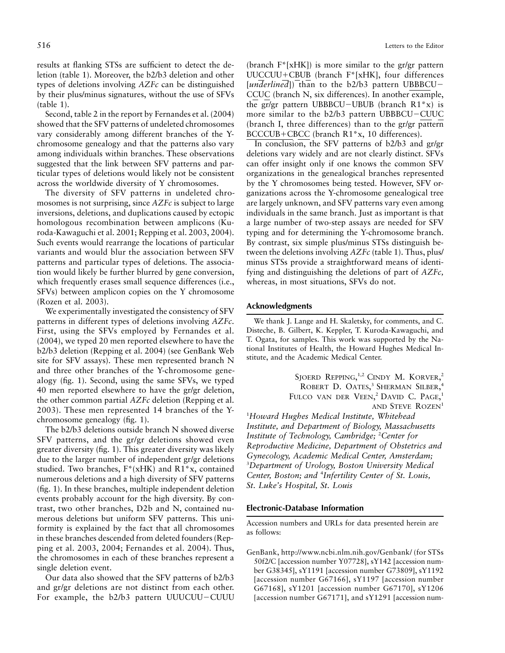results at flanking STSs are sufficient to detect the deletion (table 1). Moreover, the b2/b3 deletion and other types of deletions involving *AZFc* can be distinguished

(table 1). Second, table 2 in the report by Fernandes et al. (2004) showed that the SFV patterns of undeleted chromosomes vary considerably among different branches of the Ychromosome genealogy and that the patterns also vary among individuals within branches. These observations suggested that the link between SFV patterns and particular types of deletions would likely not be consistent across the worldwide diversity of Y chromosomes.

by their plus/minus signatures, without the use of SFVs

The diversity of SFV patterns in undeleted chromosomes is not surprising, since *AZFc* is subject to large inversions, deletions, and duplications caused by ectopic homologous recombination between amplicons (Kuroda-Kawaguchi et al. 2001; Repping et al. 2003, 2004). Such events would rearrange the locations of particular variants and would blur the association between SFV patterns and particular types of deletions. The association would likely be further blurred by gene conversion, which frequently erases small sequence differences (i.e., SFVs) between amplicon copies on the Y chromosome (Rozen et al. 2003).

We experimentally investigated the consistency of SFV patterns in different types of deletions involving *AZFc*. First, using the SFVs employed by Fernandes et al. (2004), we typed 20 men reported elsewhere to have the b2/b3 deletion (Repping et al. 2004) (see GenBank Web site for SFV assays). These men represented branch N and three other branches of the Y-chromosome genealogy (fig. 1). Second, using the same SFVs, we typed 40 men reported elsewhere to have the gr/gr deletion, the other common partial *AZFc* deletion (Repping et al. 2003). These men represented 14 branches of the Ychromosome genealogy (fig. 1).

The b2/b3 deletions outside branch N showed diverse SFV patterns, and the gr/gr deletions showed even greater diversity (fig. 1). This greater diversity was likely due to the larger number of independent gr/gr deletions studied. Two branches, F\*(xHK) and R1\*x, contained numerous deletions and a high diversity of SFV patterns (fig. 1). In these branches, multiple independent deletion events probably account for the high diversity. By contrast, two other branches, D2b and N, contained numerous deletions but uniform SFV patterns. This uniformity is explained by the fact that all chromosomes in these branches descended from deleted founders (Repping et al. 2003, 2004; Fernandes et al. 2004). Thus, the chromosomes in each of these branches represent a single deletion event.

Our data also showed that the SFV patterns of b2/b3 and gr/gr deletions are not distinct from each other. For example, the b2/b3 pattern UUUCUU-CUUU (branch  $F^*$ [xHK]) is more similar to the gr/gr pattern  $UUCCUU+CBUB$  (branch  $F^*[xHK]$ , four differences [*underlined*]) than to the b2/b3 pattern UBBBCU- CCUC (branch N, six differences). In another example, the gr/gr pattern UBBBCU-UBUB (branch R1\*x) is more similar to the b2/b3 pattern UBBBCU-CUUC (branch I, three differences) than to the gr/gr pattern  $BCCCUB + CBC$  (branch R1\*x, 10 differences).

In conclusion, the SFV patterns of b2/b3 and gr/gr deletions vary widely and are not clearly distinct. SFVs can offer insight only if one knows the common SFV organizations in the genealogical branches represented by the Y chromosomes being tested. However, SFV organizations across the Y-chromosome genealogical tree are largely unknown, and SFV patterns vary even among individuals in the same branch. Just as important is that a large number of two-step assays are needed for SFV typing and for determining the Y-chromosome branch. By contrast, six simple plus/minus STSs distinguish between the deletions involving *AZFc* (table 1). Thus, plus/ minus STSs provide a straightforward means of identifying and distinguishing the deletions of part of *AZFc,* whereas, in most situations, SFVs do not.

# **Acknowledgments**

We thank J. Lange and H. Skaletsky, for comments, and C. Disteche, B. Gilbert, K. Keppler, T. Kuroda-Kawaguchi, and T. Ogata, for samples. This work was supported by the National Institutes of Health, the Howard Hughes Medical Institute, and the Academic Medical Center.

> SJOERD REPPING,<sup>1,2</sup> CINDY M. KORVER,<sup>2</sup> ROBERT D. OATES,<sup>3</sup> SHERMAN SILBER,<sup>4</sup> FULCO VAN DER VEEN,<sup>2</sup> DAVID C. PAGE,<sup>1</sup> AND STEVE ROZEN<sup>1</sup>

1 *Howard Hughes Medical Institute, Whitehead Institute, and Department of Biology, Massachusetts Institute of Technology, Cambridge;* <sup>2</sup> *Center for Reproductive Medicine, Department of Obstetrics and Gynecology, Academic Medical Center, Amsterdam;* 3 *Department of Urology, Boston University Medical Center, Boston; and* <sup>4</sup> *Infertility Center of St. Louis, St. Luke's Hospital, St. Louis*

## **Electronic-Database Information**

Accession numbers and URLs for data presented herein are as follows:

GenBank, http://www.ncbi.nlm.nih.gov/Genbank/ (for STSs 50f2/C [accession number Y07728], sY142 [accession number G38345], sY1191 [accession number G73809], sY1192 [accession number G67166], sY1197 [accession number G67168], sY1201 [accession number G67170], sY1206 [accession number G67171], and sY1291 [accession num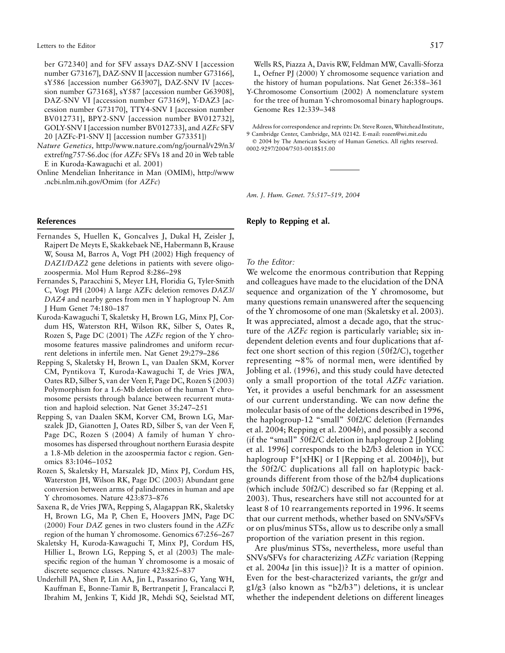ber G72340] and for SFV assays DAZ-SNV I [accession number G73167], DAZ-SNV II [accession number G73166], sY586 [accession number G63907], DAZ-SNV IV [accession number G73168], sY587 [accession number G63908], DAZ-SNV VI [accession number G73169], Y-DAZ3 [accession number G73170], TTY4-SNV I [accession number BV012731], BPY2-SNV [accession number BV012732], GOLY-SNV I [accession number BV012733], and *AZFc* SFV 20 [AZFc-P1-SNV I] [accession number G73351])

- *Nature Genetics,* http://www.nature.com/ng/journal/v29/n3/ extref/ng757-S6.doc (for *AZFc* SFVs 18 and 20 in Web table E in Kuroda-Kawaguchi et al. 2001)
- Online Mendelian Inheritance in Man (OMIM), http://www .ncbi.nlm.nih.gov/Omim (for *AZFc*)

#### **References**

- Fernandes S, Huellen K, Goncalves J, Dukal H, Zeisler J, Rajpert De Meyts E, Skakkebaek NE, Habermann B, Krause W, Sousa M, Barros A, Vogt PH (2002) High frequency of *DAZ1/DAZ2* gene deletions in patients with severe oligozoospermia. Mol Hum Reprod 8:286–298
- Fernandes S, Paracchini S, Meyer LH, Floridia G, Tyler-Smith C, Vogt PH (2004) A large AZFc deletion removes *DAZ3*/ *DAZ4* and nearby genes from men in Y haplogroup N. Am J Hum Genet 74:180–187
- Kuroda-Kawaguchi T, Skaletsky H, Brown LG, Minx PJ, Cordum HS, Waterston RH, Wilson RK, Silber S, Oates R, Rozen S, Page DC (2001) The *AZFc* region of the Y chromosome features massive palindromes and uniform recurrent deletions in infertile men. Nat Genet 29:279–286
- Repping S, Skaletsky H, Brown L, van Daalen SKM, Korver CM, Pyntikova T, Kuroda-Kawaguchi T, de Vries JWA, Oates RD, Silber S, van der Veen F, Page DC, Rozen S (2003) Polymorphism for a 1.6-Mb deletion of the human Y chromosome persists through balance between recurrent mutation and haploid selection. Nat Genet 35:247–251
- Repping S, van Daalen SKM, Korver CM, Brown LG, Marszalek JD, Gianotten J, Oates RD, Silber S, van der Veen F, Page DC, Rozen S (2004) A family of human Y chromosomes has dispersed throughout northern Eurasia despite a 1.8-Mb deletion in the azoospermia factor c region. Genomics 83:1046–1052
- Rozen S, Skaletsky H, Marszalek JD, Minx PJ, Cordum HS, Waterston JH, Wilson RK, Page DC (2003) Abundant gene conversion between arms of palindromes in human and ape Y chromosomes. Nature 423:873–876
- Saxena R, de Vries JWA, Repping S, Alagappan RK, Skaletsky H, Brown LG, Ma P, Chen E, Hoovers JMN, Page DC (2000) Four *DAZ* genes in two clusters found in the *AZFc* region of the human Y chromosome. Genomics 67:256–267
- Skaletsky H, Kuroda-Kawaguchi T, Minx PJ, Cordum HS, Hillier L, Brown LG, Repping S, et al (2003) The malespecific region of the human Y chromosome is a mosaic of discrete sequence classes. Nature 423:825–837
- Underhill PA, Shen P, Lin AA, Jin L, Passarino G, Yang WH, Kauffman E, Bonne-Tamir B, Bertranpetit J, Francalacci P, Ibrahim M, Jenkins T, Kidd JR, Mehdi SQ, Seielstad MT,

Wells RS, Piazza A, Davis RW, Feldman MW, Cavalli-Sforza L, Oefner PJ (2000) Y chromosome sequence variation and the history of human populations. Nat Genet 26:358–361

Y-Chromosome Consortium (2002) A nomenclature system for the tree of human Y-chromosomal binary haplogroups. Genome Res 12:339–348

Address for correspondence and reprints: Dr. Steve Rozen, Whitehead Institute, 9 Cambridge Center, Cambridge, MA 02142. E-mail: rozen@wi.mit.edu 2004 by The American Society of Human Genetics. All rights reserved.

*Am. J. Hum. Genet. 75:517–519, 2004*

# **Reply to Repping et al.**

# *To the Editor:*

We welcome the enormous contribution that Repping and colleagues have made to the elucidation of the DNA sequence and organization of the Y chromosome, but many questions remain unanswered after the sequencing of the Y chromosome of one man (Skaletsky et al. 2003). It was appreciated, almost a decade ago, that the structure of the *AZFc* region is particularly variable; six independent deletion events and four duplications that affect one short section of this region (50f2/C), together representing ∼8% of normal men, were identified by Jobling et al. (1996), and this study could have detected only a small proportion of the total *AZFc* variation. Yet, it provides a useful benchmark for an assessment of our current understanding. We can now define the molecular basis of one of the deletions described in 1996, the haplogroup-12 "small" 50f2/C deletion (Fernandes et al. 2004; Repping et al. 2004*b*), and possibly a second (if the "small" 50f2/C deletion in haplogroup 2 [Jobling et al. 1996] corresponds to the b2/b3 deletion in YCC haplogroup F\*[xHK] or I [Repping et al. 2004*b*]), but the 50f2/C duplications all fall on haplotypic backgrounds different from those of the b2/b4 duplications (which include 50f2/C) described so far (Repping et al. 2003). Thus, researchers have still not accounted for at least 8 of 10 rearrangements reported in 1996. It seems that our current methods, whether based on SNVs/SFVs or on plus/minus STSs, allow us to describe only a small proportion of the variation present in this region.

Are plus/minus STSs, nevertheless, more useful than SNVs/SFVs for characterizing *AZFc* variation (Repping et al. 2004*a* [in this issue])? It is a matter of opinion. Even for the best-characterized variants, the gr/gr and g1/g3 (also known as "b2/b3") deletions, it is unclear whether the independent deletions on different lineages

<sup>0002-9297/2004/7503-0018\$15.00</sup>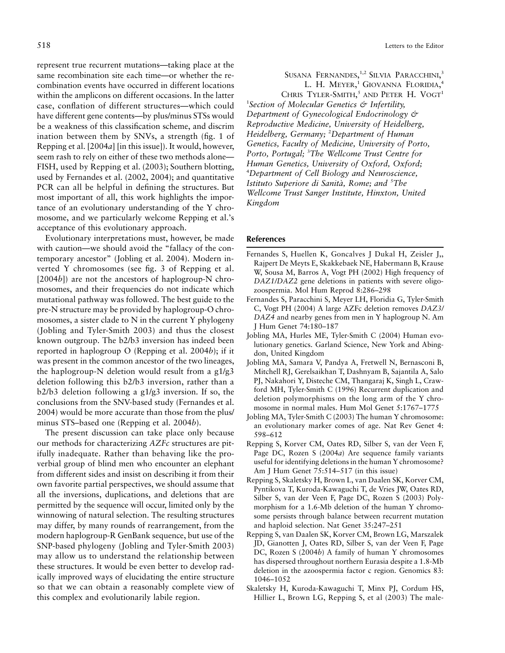represent true recurrent mutations—taking place at the same recombination site each time—or whether the recombination events have occurred in different locations within the amplicons on different occasions. In the latter case, conflation of different structures—which could have different gene contents—by plus/minus STSs would be a weakness of this classification scheme, and discrim ination between them by SNVs, a strength (fig. 1 of Repping et al. [2004*a*] [in this issue]). It would, however, seem rash to rely on either of these two methods alone— FISH, used by Repping et al. (2003); Southern blotting, used by Fernandes et al. (2002, 2004); and quantitative PCR can all be helpful in defining the structures. But most important of all, this work highlights the importance of an evolutionary understanding of the Y chromosome, and we particularly welcome Repping et al.'s acceptance of this evolutionary approach.

Evolutionary interpretations must, however, be made with caution—we should avoid the "fallacy of the contemporary ancestor" (Jobling et al. 2004). Modern inverted Y chromosomes (see fig. 3 of Repping et al. [2004*b*]) are not the ancestors of haplogroup-N chromosomes, and their frequencies do not indicate which mutational pathway was followed. The best guide to the pre-N structure may be provided by haplogroup-O chromosomes, a sister clade to N in the current Y phylogeny (Jobling and Tyler-Smith 2003) and thus the closest known outgroup. The b2/b3 inversion has indeed been reported in haplogroup O (Repping et al. 2004*b*); if it was present in the common ancestor of the two lineages, the haplogroup-N deletion would result from a g1/g3 deletion following this b2/b3 inversion, rather than a b2/b3 deletion following a g1/g3 inversion. If so, the conclusions from the SNV-based study (Fernandes et al. 2004) would be more accurate than those from the plus/ minus STS–based one (Repping et al. 2004*b*).

The present discussion can take place only because our methods for characterizing *AZFc* structures are pitifully inadequate. Rather than behaving like the proverbial group of blind men who encounter an elephant from different sides and insist on describing it from their own favorite partial perspectives, we should assume that all the inversions, duplications, and deletions that are permitted by the sequence will occur, limited only by the winnowing of natural selection. The resulting structures may differ, by many rounds of rearrangement, from the modern haplogroup-R GenBank sequence, but use of the SNP-based phylogeny (Jobling and Tyler-Smith 2003) may allow us to understand the relationship between these structures. It would be even better to develop radically improved ways of elucidating the entire structure so that we can obtain a reasonably complete view of this complex and evolutionarily labile region.

Susana Fernandes,<sup>1,2</sup> Silvia Paracchini,<sup>3</sup> L. H. MEYER,<sup>1</sup> GIOVANNA FLORIDIA,<sup>4</sup> CHRIS TYLER-SMITH,<sup>5</sup> AND PETER H. VOGT<sup>1</sup>

1 *Section of Molecular Genetics & Infertility, Department of Gynecological Endocrinology & Reproductive Medicine, University of Heidelberg, Heidelberg, Germany;* <sup>2</sup> *Department of Human Genetics, Faculty of Medicine, University of Porto, Porto, Portugal;* <sup>3</sup> *The Wellcome Trust Centre for Human Genetics, University of Oxford, Oxford;* 4 *Department of Cell Biology and Neuroscience,* Istituto Superiore di Sanità, Rome; and <sup>s</sup>The *Wellcome Trust Sanger Institute, Hinxton, United Kingdom*

# **References**

- Fernandes S, Huellen K, Goncalves J Dukal H, Zeisler J,, Rajpert De Meyts E, Skakkebaek NE, Habermann B, Krause W, Sousa M, Barros A, Vogt PH (2002) High frequency of *DAZ1/DAZ2* gene deletions in patients with severe oligozoospermia. Mol Hum Reprod 8:286–298
- Fernandes S, Paracchini S, Meyer LH, Floridia G, Tyler-Smith C, Vogt PH (2004) A large AZFc deletion removes *DAZ3/ DAZ4* and nearby genes from men in Y haplogroup N. Am J Hum Genet 74:180–187
- Jobling MA, Hurles ME, Tyler-Smith C (2004) Human evolutionary genetics. Garland Science, New York and Abingdon, United Kingdom
- Jobling MA, Samara V, Pandya A, Fretwell N, Bernasconi B, Mitchell RJ, Gerelsaikhan T, Dashnyam B, Sajantila A, Salo PJ, Nakahori Y, Disteche CM, Thangaraj K, Singh L, Crawford MH, Tyler-Smith C (1996) Recurrent duplication and deletion polymorphisms on the long arm of the Y chromosome in normal males. Hum Mol Genet 5:1767–1775
- Jobling MA, Tyler-Smith C (2003) The human Y chromosome: an evolutionary marker comes of age. Nat Rev Genet 4: 598–612
- Repping S, Korver CM, Oates RD, Silber S, van der Veen F, Page DC, Rozen S (2004*a*) Are sequence family variants useful for identifying deletions in the human Y chromosome? Am J Hum Genet 75:514–517 (in this issue)
- Repping S, Skaletsky H, Brown L, van Daalen SK, Korver CM, Pyntikova T, Kuroda-Kawaguchi T, de Vries JW, Oates RD, Silber S, van der Veen F, Page DC, Rozen S (2003) Polymorphism for a 1.6-Mb deletion of the human Y chromosome persists through balance between recurrent mutation and haploid selection. Nat Genet 35:247–251
- Repping S, van Daalen SK, Korver CM, Brown LG, Marszalek JD, Gianotten J, Oates RD, Silber S, van der Veen F, Page DC, Rozen S (2004*b*) A family of human Y chromosomes has dispersed throughout northern Eurasia despite a 1.8-Mb deletion in the azoospermia factor c region. Genomics 83: 1046–1052
- Skaletsky H, Kuroda-Kawaguchi T, Minx PJ, Cordum HS, Hillier L, Brown LG, Repping S, et al (2003) The male-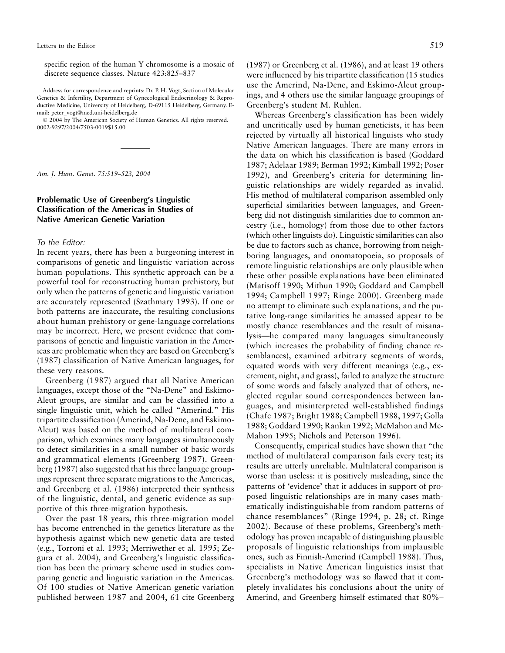specific region of the human Y chromosome is a mosaic of discrete sequence classes. Nature 423:825–837

Address for correspondence and reprints: Dr. P. H. Vogt, Section of Molecular Genetics & Infertility, Department of Gynecological Endocrinology & Reproductive Medicine, University of Heidelberg, D-69115 Heidelberg, Germany. Email: peter\_vogt@med.uni-heidelberg.de

 2004 by The American Society of Human Genetics. All rights reserved. 0002-9297/2004/7503-0019\$15.00

*Am. J. Hum. Genet. 75:519–523, 2004*

# **Problematic Use of Greenberg's Linguistic Classification of the Americas in Studies of Native American Genetic Variation**

# *To the Editor:*

In recent years, there has been a burgeoning interest in comparisons of genetic and linguistic variation across human populations. This synthetic approach can be a powerful tool for reconstructing human prehistory, but only when the patterns of genetic and linguistic variation are accurately represented (Szathmary 1993). If one or both patterns are inaccurate, the resulting conclusions about human prehistory or gene-language correlations may be incorrect. Here, we present evidence that comparisons of genetic and linguistic variation in the Americas are problematic when they are based on Greenberg's (1987) classification of Native American languages, for these very reasons.

Greenberg (1987) argued that all Native American languages, except those of the "Na-Dene" and Eskimo-Aleut groups, are similar and can be classified into a single linguistic unit, which he called "Amerind." His tripartite classification (Amerind, Na-Dene, and Eskimo-Aleut) was based on the method of multilateral comparison, which examines many languages simultaneously to detect similarities in a small number of basic words and grammatical elements (Greenberg 1987). Greenberg (1987) also suggested that his three language groupings represent three separate migrations to the Americas, and Greenberg et al. (1986) interpreted their synthesis of the linguistic, dental, and genetic evidence as supportive of this three-migration hypothesis.

Over the past 18 years, this three-migration model has become entrenched in the genetics literature as the hypothesis against which new genetic data are tested (e.g., Torroni et al. 1993; Merriwether et al. 1995; Zegura et al. 2004), and Greenberg's linguistic classification has been the primary scheme used in studies comparing genetic and linguistic variation in the Americas. Of 100 studies of Native American genetic variation published between 1987 and 2004, 61 cite Greenberg

(1987) or Greenberg et al. (1986), and at least 19 others were influenced by his tripartite classification (15 studies use the Amerind, Na-Dene, and Eskimo-Aleut groupings, and 4 others use the similar language groupings of Greenberg's student M. Ruhlen.

Whereas Greenberg's classification has been widely and uncritically used by human geneticists, it has been rejected by virtually all historical linguists who study Native American languages. There are many errors in the data on which his classification is based (Goddard 1987; Adelaar 1989; Berman 1992; Kimball 1992; Poser 1992), and Greenberg's criteria for determining linguistic relationships are widely regarded as invalid. His method of multilateral comparison assembled only superficial similarities between languages, and Greenberg did not distinguish similarities due to common ancestry (i.e., homology) from those due to other factors (which other linguists do). Linguistic similarities can also be due to factors such as chance, borrowing from neighboring languages, and onomatopoeia, so proposals of remote linguistic relationships are only plausible when these other possible explanations have been eliminated (Matisoff 1990; Mithun 1990; Goddard and Campbell 1994; Campbell 1997; Ringe 2000). Greenberg made no attempt to eliminate such explanations, and the putative long-range similarities he amassed appear to be mostly chance resemblances and the result of misanalysis—he compared many languages simultaneously (which increases the probability of finding chance resemblances), examined arbitrary segments of words, equated words with very different meanings (e.g., excrement, night, and grass), failed to analyze the structure of some words and falsely analyzed that of others, neglected regular sound correspondences between languages, and misinterpreted well-established findings (Chafe 1987; Bright 1988; Campbell 1988, 1997; Golla 1988; Goddard 1990; Rankin 1992; McMahon and Mc-Mahon 1995; Nichols and Peterson 1996).

Consequently, empirical studies have shown that "the method of multilateral comparison fails every test; its results are utterly unreliable. Multilateral comparison is worse than useless: it is positively misleading, since the patterns of 'evidence' that it adduces in support of proposed linguistic relationships are in many cases mathematically indistinguishable from random patterns of chance resemblances" (Ringe 1994, p. 28; cf. Ringe 2002). Because of these problems, Greenberg's methodology has proven incapable of distinguishing plausible proposals of linguistic relationships from implausible ones, such as Finnish-Amerind (Campbell 1988). Thus, specialists in Native American linguistics insist that Greenberg's methodology was so flawed that it completely invalidates his conclusions about the unity of Amerind, and Greenberg himself estimated that 80%–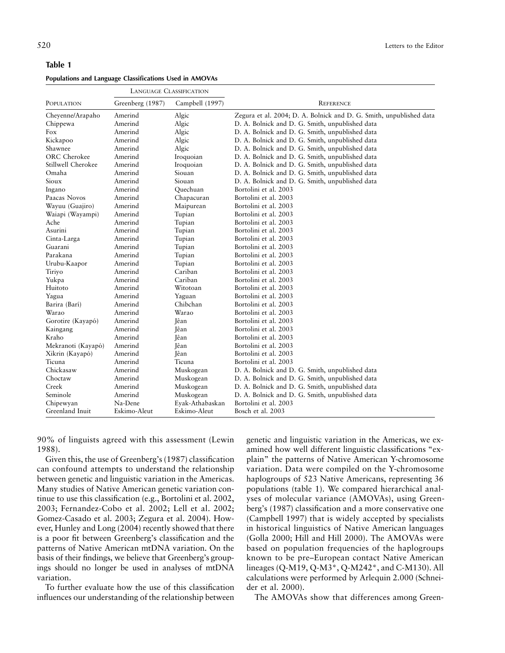|                    | <b>LANGUAGE CLASSIFICATION</b> |                 |                                                                     |
|--------------------|--------------------------------|-----------------|---------------------------------------------------------------------|
| POPULATION         | Greenberg (1987)               | Campbell (1997) | <b>REFERENCE</b>                                                    |
| Cheyenne/Arapaho   | Amerind                        | Algic           | Zegura et al. 2004; D. A. Bolnick and D. G. Smith, unpublished data |
| Chippewa           | Amerind                        | Algic           | D. A. Bolnick and D. G. Smith, unpublished data                     |
| Fox                | Amerind                        | Algic           | D. A. Bolnick and D. G. Smith, unpublished data                     |
| Kickapoo           | Amerind                        | Algic           | D. A. Bolnick and D. G. Smith, unpublished data                     |
| Shawnee            | Amerind                        | Algic           | D. A. Bolnick and D. G. Smith, unpublished data                     |
| ORC Cherokee       | Amerind                        | Iroquoian       | D. A. Bolnick and D. G. Smith, unpublished data                     |
| Stillwell Cherokee | Amerind                        | Iroquoian       | D. A. Bolnick and D. G. Smith, unpublished data                     |
| Omaha              | Amerind                        | Siouan          | D. A. Bolnick and D. G. Smith, unpublished data                     |
| Sioux              | Amerind                        | Siouan          | D. A. Bolnick and D. G. Smith, unpublished data                     |
| Ingano             | Amerind                        | Ouechuan        | Bortolini et al. 2003                                               |
| Paacas Novos       | Amerind                        | Chapacuran      | Bortolini et al. 2003                                               |
| Wayuu (Guajiro)    | Amerind                        | Maipurean       | Bortolini et al. 2003                                               |
| Waiapi (Wayampi)   | Amerind                        | Tupian          | Bortolini et al. 2003                                               |
| Ache               | Amerind                        | Tupian          | Bortolini et al. 2003                                               |
| Asurini            | Amerind                        | Tupian          | Bortolini et al. 2003                                               |
| Cinta-Larga        | Amerind                        | Tupian          | Bortolini et al. 2003                                               |
| Guarani            | Amerind                        | Tupian          | Bortolini et al. 2003                                               |
| Parakana           | Amerind                        | Tupian          | Bortolini et al. 2003                                               |
| Urubu-Kaapor       | Amerind                        | Tupian          | Bortolini et al. 2003                                               |
| Tiriyo             | Amerind                        | Cariban         | Bortolini et al. 2003                                               |
| Yukpa              | Amerind                        | Cariban         | Bortolini et al. 2003                                               |
| Huitoto            | Amerind                        | Witotoan        | Bortolini et al. 2003                                               |
| Yagua              | Amerind                        | Yaguan          | Bortolini et al. 2003                                               |
| Barira (Barí)      | Amerind                        | Chibchan        | Bortolini et al. 2003                                               |
| Warao              | Amerind                        | Warao           | Bortolini et al. 2003                                               |
| Gorotire (Kayapó)  | Amerind                        | Jêan            | Bortolini et al. 2003                                               |
| Kaingang           | Amerind                        | Jêan            | Bortolini et al. 2003                                               |
| Kraho              | Amerind                        | Jêan            | Bortolini et al. 2003                                               |
| Mekranoti (Kayapó) | Amerind                        | Jêan            | Bortolini et al. 2003                                               |
| Xikrin (Kayapó)    | Amerind                        | Jêan            | Bortolini et al. 2003                                               |
| Ticuna             | Amerind                        | Ticuna          | Bortolini et al. 2003                                               |
| Chickasaw          | Amerind                        | Muskogean       | D. A. Bolnick and D. G. Smith, unpublished data                     |
| Choctaw            | Amerind                        | Muskogean       | D. A. Bolnick and D. G. Smith, unpublished data                     |
| Creek              | Amerind                        | Muskogean       | D. A. Bolnick and D. G. Smith, unpublished data                     |
| Seminole           | Amerind                        | Muskogean       | D. A. Bolnick and D. G. Smith, unpublished data                     |
| Chipewyan          | Na-Dene                        | Eyak-Athabaskan | Bortolini et al. 2003                                               |
| Greenland Inuit    | Eskimo-Aleut                   | Eskimo-Aleut    | Bosch et al. 2003                                                   |

90% of linguists agreed with this assessment (Lewin 1988).

Given this, the use of Greenberg's (1987) classification can confound attempts to understand the relationship between genetic and linguistic variation in the Americas. Many studies of Native American genetic variation continue to use this classification (e.g., Bortolini et al. 2002, 2003; Fernandez-Cobo et al. 2002; Lell et al. 2002; Gomez-Casado et al. 2003; Zegura et al. 2004). However, Hunley and Long (2004) recently showed that there is a poor fit between Greenberg's classification and the patterns of Native American mtDNA variation. On the basis of their findings, we believe that Greenberg's groupings should no longer be used in analyses of mtDNA variation.

To further evaluate how the use of this classification influences our understanding of the relationship between genetic and linguistic variation in the Americas, we examined how well different linguistic classifications "explain" the patterns of Native American Y-chromosome variation. Data were compiled on the Y-chromosome haplogroups of 523 Native Americans, representing 36 populations (table 1). We compared hierarchical analyses of molecular variance (AMOVAs), using Greenberg's (1987) classification and a more conservative one (Campbell 1997) that is widely accepted by specialists in historical linguistics of Native American languages (Golla 2000; Hill and Hill 2000). The AMOVAs were based on population frequencies of the haplogroups known to be pre–European contact Native American lineages (Q-M19, Q-M3\*, Q-M242\*, and C-M130). All calculations were performed by Arlequin 2.000 (Schneider et al. 2000).

The AMOVAs show that differences among Green-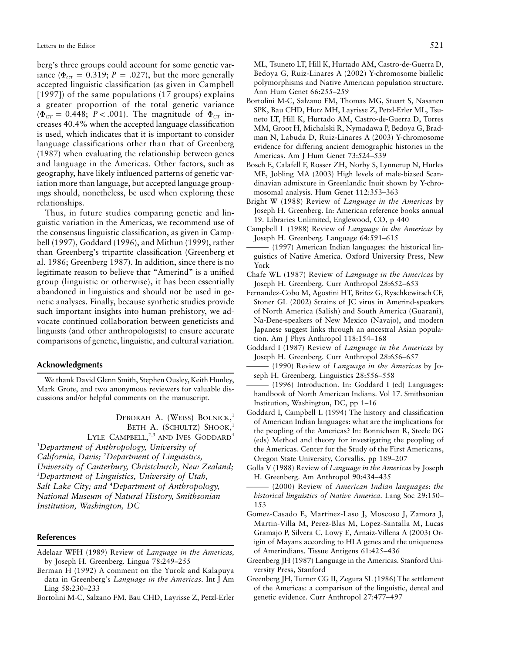berg's three groups could account for some genetic variance ( $\Phi_{CT} = 0.319$ ;  $P = .027$ ), but the more generally accepted linguistic classification (as given in Campbell [1997]) of the same populations (17 groups) explains a greater proportion of the total genetic variance  $(\Phi_{CT} = 0.448; P < .001)$ . The magnitude of  $\Phi_{CT}$  increases 40.4% when the accepted language classification is used, which indicates that it is important to consider language classifications other than that of Greenberg (1987) when evaluating the relationship between genes and language in the Americas. Other factors, such as geography, have likely influenced patterns of genetic variation more than language, but accepted language groupings should, nonetheless, be used when exploring these relationships.

Thus, in future studies comparing genetic and linguistic variation in the Americas, we recommend use of the consensus linguistic classification, as given in Campbell (1997), Goddard (1996), and Mithun (1999), rather than Greenberg's tripartite classification (Greenberg et al. 1986; Greenberg 1987). In addition, since there is no legitimate reason to believe that "Amerind" is a unified group (linguistic or otherwise), it has been essentially abandoned in linguistics and should not be used in genetic analyses. Finally, because synthetic studies provide such important insights into human prehistory, we advocate continued collaboration between geneticists and linguists (and other anthropologists) to ensure accurate comparisons of genetic, linguistic, and cultural variation.

#### **Acknowledgments**

We thank David Glenn Smith, Stephen Ousley, Keith Hunley, Mark Grote, and two anonymous reviewers for valuable discussions and/or helpful comments on the manuscript.

> DEBORAH A. (WEISS) BOLNICK, 1 Beth A. (Schultz) Shook,<sup>1</sup> LYLE CAMPBELL,<sup>2,3</sup> AND IVES GODDARD<sup>4</sup>

1 *Department of Anthropology, University of California, Davis;* <sup>2</sup> *Department of Linguistics, University of Canterbury, Christchurch, New Zealand;* 3 *Department of Linguistics, University of Utah, Salt Lake City; and* <sup>4</sup> *Department of Anthropology, National Museum of Natural History, Smithsonian Institution, Washington, DC*

## **References**

- Adelaar WFH (1989) Review of *Language in the Americas,* by Joseph H. Greenberg. Lingua 78:249–255
- Berman H (1992) A comment on the Yurok and Kalapuya data in Greenberg's *Language in the Americas.* Int J Am Ling 58:230–233
- Bortolini M-C, Salzano FM, Bau CHD, Layrisse Z, Petzl-Erler

ML, Tsuneto LT, Hill K, Hurtado AM, Castro-de-Guerra D, Bedoya G, Ruiz-Linares A (2002) Y-chromosome biallelic polymorphisms and Native American population structure. Ann Hum Genet 66:255–259

- Bortolini M-C, Salzano FM, Thomas MG, Stuart S, Nasanen SPK, Bau CHD, Hutz MH, Layrisse Z, Petzl-Erler ML, Tsuneto LT, Hill K, Hurtado AM, Castro-de-Guerra D, Torres MM, Groot H, Michalski R, Nymadawa P, Bedoya G, Bradman N, Labuda D, Ruiz-Linares A (2003) Y-chromosome evidence for differing ancient demographic histories in the Americas. Am J Hum Genet 73:524–539
- Bosch E, Calafell F, Rosser ZH, Norby S, Lynnerup N, Hurles ME, Jobling MA (2003) High levels of male-biased Scandinavian admixture in Greenlandic Inuit shown by Y-chromosomal analysis. Hum Genet 112:353–363
- Bright W (1988) Review of *Language in the Americas* by Joseph H. Greenberg. In: American reference books annual 19. Libraries Unlimited, Englewood, CO, p 440
- Campbell L (1988) Review of *Language in the Americas* by Joseph H. Greenberg. Language 64:591–615
- ——— (1997) American Indian languages: the historical linguistics of Native America. Oxford University Press, New York
- Chafe WL (1987) Review of *Language in the Americas* by Joseph H. Greenberg. Curr Anthropol 28:652–653
- Fernandez-Cobo M, Agostini HT, Britez G, Ryschkewitsch CF, Stoner GL (2002) Strains of JC virus in Amerind-speakers of North America (Salish) and South America (Guarani), Na-Dene-speakers of New Mexico (Navajo), and modern Japanese suggest links through an ancestral Asian population. Am J Phys Anthropol 118:154–168
- Goddard I (1987) Review of *Language in the Americas* by Joseph H. Greenberg. Curr Anthropol 28:656–657
- ——— (1990) Review of *Language in the Americas* by Joseph H. Greenberg. Linguistics 28:556–558
- $(1996)$  Introduction. In: Goddard I (ed) Languages: handbook of North American Indians. Vol 17. Smithsonian Institution, Washington, DC, pp 1–16
- Goddard I, Campbell L (1994) The history and classification of American Indian languages: what are the implications for the peopling of the Americas? In: Bonnichsen R, Steele DG (eds) Method and theory for investigating the peopling of the Americas. Center for the Study of the First Americans, Oregon State University, Corvallis, pp 189–207
- Golla V (1988) Review of *Language in the Americas* by Joseph H. Greenberg. Am Anthropol 90:434–435
- ——— (2000) Review of *American Indian languages: the historical linguistics of Native America*. Lang Soc 29:150– 153
- Gomez-Casado E, Martinez-Laso J, Moscoso J, Zamora J, Martin-Villa M, Perez-Blas M, Lopez-Santalla M, Lucas Gramajo P, Silvera C, Lowy E, Arnaiz-Villena A (2003) Origin of Mayans according to HLA genes and the uniqueness of Amerindians. Tissue Antigens 61:425–436
- Greenberg JH (1987) Language in the Americas. Stanford University Press, Stanford
- Greenberg JH, Turner CG II, Zegura SL (1986) The settlement of the Americas: a comparison of the linguistic, dental and genetic evidence. Curr Anthropol 27:477–497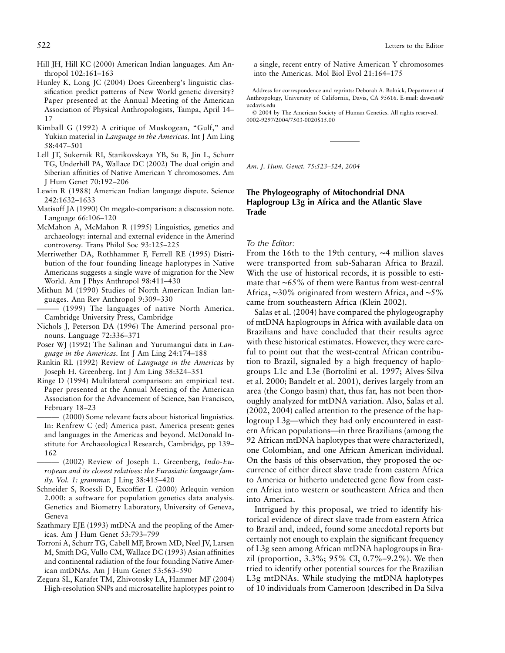- Hill JH, Hill KC (2000) American Indian languages. Am Anthropol 102:161–163
- Hunley K, Long JC (2004) Does Greenberg's linguistic classification predict patterns of New World genetic diversity? Paper presented at the Annual Meeting of the American Association of Physical Anthropologists, Tampa, April 14– 17
- Kimball G (1992) A critique of Muskogean, "Gulf," and Yukian material in *Language in the Americas.* Int J Am Ling 58:447–501
- Lell JT, Sukernik RI, Starikovskaya YB, Su B, Jin L, Schurr TG, Underhill PA, Wallace DC (2002) The dual origin and Siberian affinities of Native American Y chromosomes. Am J Hum Genet 70:192–206
- Lewin R (1988) American Indian language dispute. Science 242:1632–1633
- Matisoff JA (1990) On megalo-comparison: a discussion note. Language 66:106–120
- McMahon A, McMahon R (1995) Linguistics, genetics and archaeology: internal and external evidence in the Amerind controversy. Trans Philol Soc 93:125–225
- Merriwether DA, Rothhammer F, Ferrell RE (1995) Distribution of the four founding lineage haplotypes in Native Americans suggests a single wave of migration for the New World. Am J Phys Anthropol 98:411–430
- Mithun M (1990) Studies of North American Indian languages. Ann Rev Anthropol 9:309–330
- $-(1999)$  The languages of native North America. Cambridge University Press, Cambridge
- Nichols J, Peterson DA (1996) The Amerind personal pronouns. Language 72:336–371
- Poser WJ (1992) The Salinan and Yurumanguí data in *Language in the Americas.* Int J Am Ling 24:174–188
- Rankin RL (1992) Review of *Language in the Americas* by Joseph H. Greenberg. Int J Am Ling 58:324–351
- Ringe D (1994) Multilateral comparison: an empirical test. Paper presented at the Annual Meeting of the American Association for the Advancement of Science, San Francisco, February 18–23
- $(2000)$  Some relevant facts about historical linguistics. In: Renfrew C (ed) America past, America present: genes and languages in the Americas and beyond. McDonald Institute for Archaeological Research, Cambridge, pp 139– 162
- (2002) Review of Joseph L. Greenberg, *Indo-European and its closest relatives: the Eurasiatic language family. Vol. 1: grammar.* J Ling 38:415–420
- Schneider S, Roessli D, Excoffier L (2000) Arlequin version 2.000: a software for population genetics data analysis. Genetics and Biometry Laboratory, University of Geneva, Geneva
- Szathmary EJE (1993) mtDNA and the peopling of the Americas. Am J Hum Genet 53:793–799
- Torroni A, Schurr TG, Cabell MF, Brown MD, Neel JV, Larsen M, Smith DG, Vullo CM, Wallace DC (1993) Asian affinities and continental radiation of the four founding Native American mtDNAs. Am J Hum Genet 53:563–590
- Zegura SL, Karafet TM, Zhivotosky LA, Hammer MF (2004) High-resolution SNPs and microsatellite haplotypes point to

a single, recent entry of Native American Y chromosomes into the Americas. Mol Biol Evol 21:164–175

Address for correspondence and reprints: Deborah A. Bolnick, Department of Anthropology, University of California, Davis, CA 95616. E-mail: daweiss@ ucdavis.edu

 2004 by The American Society of Human Genetics. All rights reserved. 0002-9297/2004/7503-0020\$15.00

*Am. J. Hum. Genet. 75:523–524, 2004*

# **The Phylogeography of Mitochondrial DNA Haplogroup L3g in Africa and the Atlantic Slave Trade**

### *To the Editor:*

From the 16th to the 19th century, ∼4 million slaves were transported from sub-Saharan Africa to Brazil. With the use of historical records, it is possible to estimate that ∼65% of them were Bantus from west-central Africa, ∼30% originated from western Africa, and ∼5% came from southeastern Africa (Klein 2002).

Salas et al. (2004) have compared the phylogeography of mtDNA haplogroups in Africa with available data on Brazilians and have concluded that their results agree with these historical estimates. However, they were careful to point out that the west-central African contribution to Brazil, signaled by a high frequency of haplogroups L1c and L3e (Bortolini et al. 1997; Alves-Silva et al. 2000; Bandelt et al. 2001), derives largely from an area (the Congo basin) that, thus far, has not been thoroughly analyzed for mtDNA variation. Also, Salas et al. (2002, 2004) called attention to the presence of the haplogroup L3g—which they had only encountered in eastern African populations—in three Brazilians (among the 92 African mtDNA haplotypes that were characterized), one Colombian, and one African American individual. On the basis of this observation, they proposed the occurrence of either direct slave trade from eastern Africa to America or hitherto undetected gene flow from eastern Africa into western or southeastern Africa and then into America.

Intrigued by this proposal, we tried to identify historical evidence of direct slave trade from eastern Africa to Brazil and, indeed, found some anecdotal reports but certainly not enough to explain the significant frequency of L3g seen among African mtDNA haplogroups in Brazil (proportion, 3.3%; 95% CI, 0.7%–9.2%). We then tried to identify other potential sources for the Brazilian L3g mtDNAs. While studying the mtDNA haplotypes of 10 individuals from Cameroon (described in Da Silva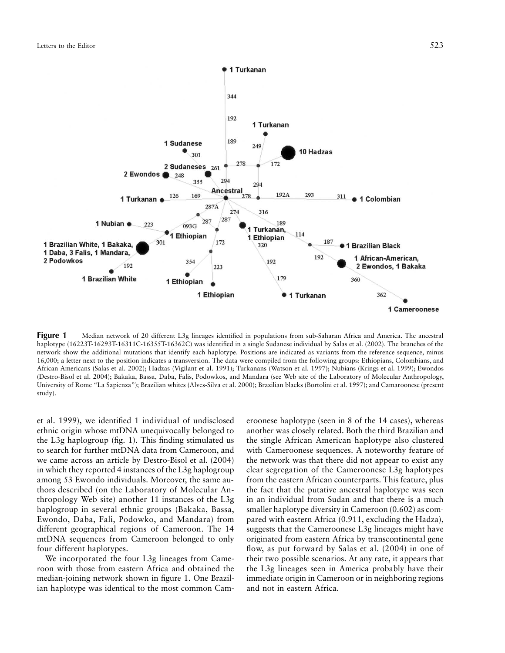

**Figure 1** Median network of 20 different L3g lineages identified in populations from sub-Saharan Africa and America. The ancestral haplotype (16223T-16293T-16311C-16355T-16362C) was identified in a single Sudanese individual by Salas et al. (2002). The branches of the network show the additional mutations that identify each haplotype. Positions are indicated as variants from the reference sequence, minus 16,000; a letter next to the position indicates a transversion. The data were compiled from the following groups: Ethiopians, Colombians, and African Americans (Salas et al. 2002); Hadzas (Vigilant et al. 1991); Turkanans (Watson et al. 1997); Nubians (Krings et al. 1999); Ewondos (Destro-Bisol et al. 2004); Bakaka, Bassa, Daba, Falis, Podowkos, and Mandara (see Web site of the Laboratory of Molecular Anthropology, University of Rome "La Sapienza"); Brazilian whites (Alves-Silva et al. 2000); Brazilian blacks (Bortolini et al. 1997); and Camaroonese (present study).

et al. 1999), we identified 1 individual of undisclosed ethnic origin whose mtDNA unequivocally belonged to the L3g haplogroup (fig. 1). This finding stimulated us to search for further mtDNA data from Cameroon, and we came across an article by Destro-Bisol et al. (2004) in which they reported 4 instances of the L3g haplogroup among 53 Ewondo individuals. Moreover, the same authors described (on the Laboratory of Molecular Anthropology Web site) another 11 instances of the L3g haplogroup in several ethnic groups (Bakaka, Bassa, Ewondo, Daba, Fali, Podowko, and Mandara) from different geographical regions of Cameroon. The 14 mtDNA sequences from Cameroon belonged to only four different haplotypes.

We incorporated the four L3g lineages from Cameroon with those from eastern Africa and obtained the median-joining network shown in figure 1. One Brazilian haplotype was identical to the most common Cameroonese haplotype (seen in 8 of the 14 cases), whereas another was closely related. Both the third Brazilian and the single African American haplotype also clustered with Cameroonese sequences. A noteworthy feature of the network was that there did not appear to exist any clear segregation of the Cameroonese L3g haplotypes from the eastern African counterparts. This feature, plus the fact that the putative ancestral haplotype was seen in an individual from Sudan and that there is a much smaller haplotype diversity in Cameroon (0.602) as compared with eastern Africa (0.911, excluding the Hadza), suggests that the Cameroonese L3g lineages might have originated from eastern Africa by transcontinental gene flow, as put forward by Salas et al. (2004) in one of their two possible scenarios. At any rate, it appears that the L3g lineages seen in America probably have their immediate origin in Cameroon or in neighboring regions and not in eastern Africa.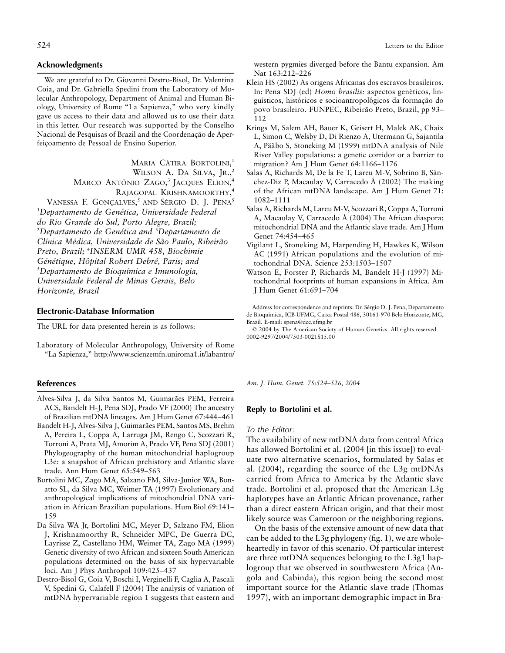# **Acknowledgments**

We are grateful to Dr. Giovanni Destro-Bisol, Dr. Valentina Coia, and Dr. Gabriella Spedini from the Laboratory of Molecular Anthropology, Department of Animal and Human Biology, University of Rome "La Sapienza," who very kindly gave us access to their data and allowed us to use their data in this letter. Our research was supported by the Conselho Nacional de Pesquisas of Brazil and the Coordenação de Aperfeicoamento de Pessoal de Ensino Superior.

> MARIA CÁTIRA BORTOLINI,<sup>1</sup> WILSON A. DA SILVA, JR.,<sup>2</sup> MARCO ANTÔNIO ZAGO,<sup>3</sup> JACQUES ELION,<sup>4</sup> RAJAGOPAL KRISHNAMOORTHY, 4

VANESSA F. GONÇALVES,<sup>5</sup> AND SÉRGIO D. J. PENA<sup>5</sup> <sup>1</sup>Departamento de Genética, Universidade Federal *do Rio Grande do Sul, Porto Alegre, Brazil;* <sup>2</sup>Departamento de Genética and <sup>3</sup>Departamento de *Clı´nica Me´dica, Universidade de Sa˜o Paulo, Ribeira˜o Preto, Brazil;* <sup>4</sup> *INSERM UMR 458, Biochimie Ge´ne´tique, Hoˆpital Robert Debre´, Paris; and* 5 *Departamento de Bioquı´mica e Imunologia, Universidade Federal de Minas Gerais, Belo Horizonte, Brazil*

# **Electronic-Database Information**

The URL for data presented herein is as follows:

Laboratory of Molecular Anthropology, University of Rome "La Sapienza," http://www.scienzemfn.uniroma1.it/labantro/

## **References**

- Alves-Silva J, da Silva Santos M, Guimarães PEM, Ferreira ACS, Bandelt H-J, Pena SDJ, Prado VF (2000) The ancestry of Brazilian mtDNA lineages. Am J Hum Genet 67:444–461
- Bandelt H-J, Alves-Silva J, Guimarães PEM, Santos MS, Brehm A, Pereira L, Coppa A, Larruga JM, Rengo C, Scozzari R, Torroni A, Prata MJ, Amorim A, Prado VF, Pena SDJ (2001) Phylogeography of the human mitochondrial haplogroup L3e: a snapshot of African prehistory and Atlantic slave trade. Ann Hum Genet 65:549–563
- Bortolini MC, Zago MA, Salzano FM, Silva-Junior WA, Bonatto SL, da Silva MC, Weimer TA (1997) Evolutionary and anthropological implications of mitochondrial DNA variation in African Brazilian populations. Hum Biol 69:141– 159
- Da Silva WA Jr, Bortolini MC, Meyer D, Salzano FM, Elion J, Krishnamoorthy R, Schneider MPC, De Guerra DC, Layrisse Z, Castellano HM, Weimer TA, Zago MA (1999) Genetic diversity of two African and sixteen South American populations determined on the basis of six hypervariable loci. Am J Phys Anthropol 109:425–437
- Destro-Bisol G, Coia V, Boschi I, Verginelli F, Caglia A, Pascali V, Spedini G, Calafell F (2004) The analysis of variation of mtDNA hypervariable region 1 suggests that eastern and

524 Letters to the Editor

western pygmies diverged before the Bantu expansion. Am Nat 163:212–226

- Klein HS (2002) As origens Africanas dos escravos brasileiros. In: Pena SDJ (ed) *Homo brasilis:* aspectos genéticos, linguísticos, históricos e socioantropológicos da formação do povo brasileiro. FUNPEC, Ribeirão Preto, Brazil, pp 93-112
- Krings M, Salem AH, Bauer K, Geisert H, Malek AK, Chaix L, Simon C, Welsby D, Di Rienzo A, Utermann G, Sajantila A, Pääbo S, Stoneking M (1999) mtDNA analysis of Nile River Valley populations: a genetic corridor or a barrier to migration? Am J Hum Genet 64:1166–1176
- Salas A, Richards M, De la Fe T, Lareu M-V, Sobrino B, Sánchez-Diz P, Macaulay V, Carracedo A´ (2002) The making of the African mtDNA landscape. Am J Hum Genet 71: 1082–1111
- Salas A, Richards M, Lareu M-V, Scozzari R, Coppa A, Torroni A, Macaulay V, Carracedo Á (2004) The African diaspora: mitochondrial DNA and the Atlantic slave trade. Am J Hum Genet 74:454–465
- Vigilant L, Stoneking M, Harpending H, Hawkes K, Wilson AC (1991) African populations and the evolution of mitochondrial DNA. Science 253:1503–1507
- Watson E, Forster P, Richards M, Bandelt H-J (1997) Mitochondrial footprints of human expansions in Africa. Am J Hum Genet 61:691–704

Address for correspondence and reprints: Dr. Sérgio D. J. Pena, Departamento de Bioquı´mica, ICB-UFMG, Caixa Postal 486, 30161-970 Belo Horizonte, MG, Brazil. E-mail: spena@dcc.ufmg.br

 2004 by The American Society of Human Genetics. All rights reserved. 0002-9297/2004/7503-0021\$15.00

*Am. J. Hum. Genet. 75:524–526, 2004*

# **Reply to Bortolini et al.**

# *To the Editor:*

The availability of new mtDNA data from central Africa has allowed Bortolini et al. (2004 [in this issue]) to evaluate two alternative scenarios, formulated by Salas et al. (2004), regarding the source of the L3g mtDNAs carried from Africa to America by the Atlantic slave trade. Bortolini et al. proposed that the American L3g haplotypes have an Atlantic African provenance, rather than a direct eastern African origin, and that their most likely source was Cameroon or the neighboring regions.

On the basis of the extensive amount of new data that can be added to the L3g phylogeny (fig. 1), we are wholeheartedly in favor of this scenario. Of particular interest are three mtDNA sequences belonging to the L3g1 haplogroup that we observed in southwestern Africa (Angola and Cabinda), this region being the second most important source for the Atlantic slave trade (Thomas 1997), with an important demographic impact in Bra-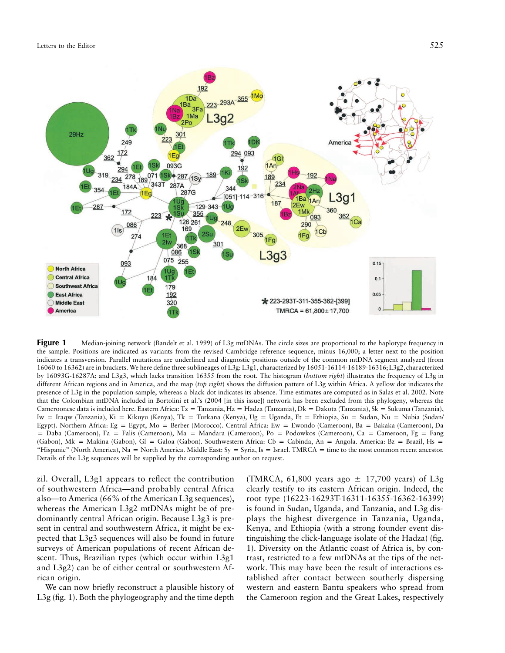

**Figure 1** Median-joining network (Bandelt et al. 1999) of L3g mtDNAs. The circle sizes are proportional to the haplotype frequency in the sample. Positions are indicated as variants from the revised Cambridge reference sequence, minus 16,000; a letter next to the position indicates a transversion. Parallel mutations are underlined and diagnostic positions outside of the common mtDNA segment analyzed (from 16060 to 16362) are in brackets. We here define three sublineages of L3g: L3g1, characterized by 16051-16114-16189-16316;L3g2,characterized by 16093G-16287A; and L3g3, which lacks transition 16355 from the root. The histogram (*bottom right*) illustrates the frequency of L3g in different African regions and in America, and the map (*top right*) shows the diffusion pattern of L3g within Africa. A yellow dot indicates the presence of L3g in the population sample, whereas a black dot indicates its absence. Time estimates are computed as in Salas et al. 2002. Note that the Colombian mtDNA included in Bortolini et al.'s (2004 [in this issue]) network has been excluded from this phylogeny, whereas the Cameroonese data is included here. Eastern Africa: Tz = Tanzania, Hz = Hadza (Tanzania), Dk = Dakota (Tanzania), Sk = Sukuma (Tanzania), Iw = Iraqw (Tanzania), Ki = Kikuyu (Kenya), Tk = Turkana (Kenya), Ug = Uganda, Et = Ethiopia, Su = Sudan, Nu = Nubia (Sudan/ Egypt). Northern Africa: Eg = Egypt, Mo = Berber (Morocco). Central Africa: Ew = Ewondo (Cameroon), Ba = Bakaka (Cameroon), Da p Daba (Cameroon), Fa = Falis (Cameroon), Ma = Mandara (Cameroon), Po = Podowkos (Cameroon), Ca = Cameroon, Fg = Fang (Gabon), Mk = Makina (Gabon), Gl = Galoa (Gabon). Southwestern Africa: Cb = Cabinda, An = Angola. America: Bz = Brazil, Hs = "Hispanic" (North America), Na = North America. Middle East: Sy = Syria, Is = Israel. TMRCA = time to the most common recent ancestor. Details of the L3g sequences will be supplied by the corresponding author on request.

zil. Overall, L3g1 appears to reflect the contribution of southwestern Africa—and probably central Africa also—to America (66% of the American L3g sequences), whereas the American L3g2 mtDNAs might be of predominantly central African origin. Because L3g3 is present in central and southwestern Africa, it might be expected that L3g3 sequences will also be found in future surveys of American populations of recent African descent. Thus, Brazilian types (which occur within L3g1 and L3g2) can be of either central or southwestern African origin.

We can now briefly reconstruct a plausible history of L3g (fig. 1). Both the phylogeography and the time depth

(TMRCA, 61,800 years ago  $\pm$  17,700 years) of L3g clearly testify to its eastern African origin. Indeed, the root type (16223-16293T-16311-16355-16362-16399) is found in Sudan, Uganda, and Tanzania, and L3g displays the highest divergence in Tanzania, Uganda, Kenya, and Ethiopia (with a strong founder event distinguishing the click-language isolate of the Hadza) (fig. 1). Diversity on the Atlantic coast of Africa is, by contrast, restricted to a few mtDNAs at the tips of the network. This may have been the result of interactions established after contact between southerly dispersing western and eastern Bantu speakers who spread from the Cameroon region and the Great Lakes, respectively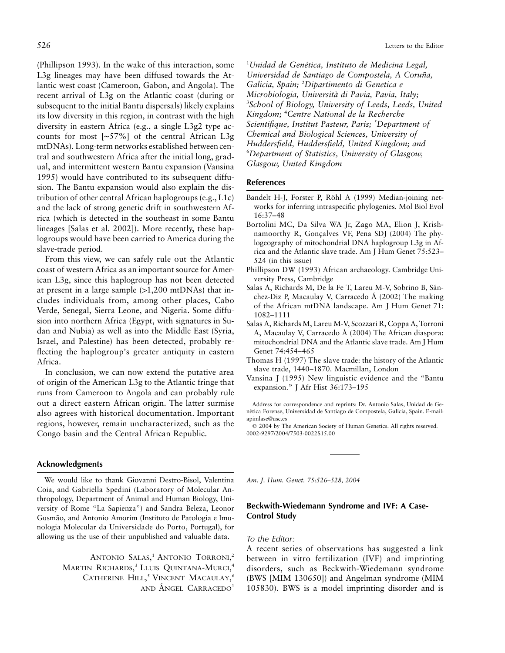(Phillipson 1993). In the wake of this interaction, some L3g lineages may have been diffused towards the Atlantic west coast (Cameroon, Gabon, and Angola). The recent arrival of L3g on the Atlantic coast (during or subsequent to the initial Bantu dispersals) likely explains its low diversity in this region, in contrast with the high diversity in eastern Africa (e.g., a single L3g2 type accounts for most [∼57%] of the central African L3g mtDNAs). Long-term networks established between central and southwestern Africa after the initial long, gradual, and intermittent western Bantu expansion (Vansina 1995) would have contributed to its subsequent diffusion. The Bantu expansion would also explain the distribution of other central African haplogroups (e.g., L1c) and the lack of strong genetic drift in southwestern Africa (which is detected in the southeast in some Bantu lineages [Salas et al. 2002]). More recently, these haplogroups would have been carried to America during the slave-trade period.

From this view, we can safely rule out the Atlantic coast of western Africa as an important source for American L3g, since this haplogroup has not been detected at present in a large sample  $(>1,200$  mtDNAs) that includes individuals from, among other places, Cabo Verde, Senegal, Sierra Leone, and Nigeria. Some diffusion into northern Africa (Egypt, with signatures in Sudan and Nubia) as well as into the Middle East (Syria, Israel, and Palestine) has been detected, probably reflecting the haplogroup's greater antiquity in eastern Africa.

In conclusion, we can now extend the putative area of origin of the American L3g to the Atlantic fringe that runs from Cameroon to Angola and can probably rule out a direct eastern African origin. The latter surmise also agrees with historical documentation. Important regions, however, remain uncharacterized, such as the Congo basin and the Central African Republic.

<sup>1</sup>Unidad de Genética, Instituto de Medicina Legal, *Universidad de Santiago de Compostela, A Corun˜a, Galicia, Spain;* <sup>2</sup> *Dipartimento di Genetica e Microbiologia, Universita` di Pavia, Pavia, Italy;* 3 *School of Biology, University of Leeds, Leeds, United Kingdom;* <sup>4</sup> *Centre National de la Recherche Scientifique, Institut Pasteur, Paris;* <sup>5</sup> *Department of Chemical and Biological Sciences, University of Huddersfield, Huddersfield, United Kingdom; and* 6 *Department of Statistics, University of Glasgow, Glasgow, United Kingdom*

# **References**

- Bandelt H-J, Forster P, Röhl A (1999) Median-joining networks for inferring intraspecific phylogenies. Mol Biol Evol 16:37–48
- Bortolini MC, Da Silva WA Jr, Zago MA, Elion J, Krishnamoorthy R, Gonçalves VF, Pena SDJ (2004) The phylogeography of mitochondrial DNA haplogroup L3g in Africa and the Atlantic slave trade. Am J Hum Genet 75:523– 524 (in this issue)
- Phillipson DW (1993) African archaeology. Cambridge University Press, Cambridge
- Salas A, Richards M, De la Fe T, Lareu M-V, Sobrino B, Sánchez-Diz P, Macaulay V, Carracedo A´ (2002) The making of the African mtDNA landscape. Am J Hum Genet 71: 1082–1111
- Salas A, Richards M, Lareu M-V, Scozzari R, Coppa A, Torroni A, Macaulay V, Carracedo Á (2004) The African diaspora: mitochondrial DNA and the Atlantic slave trade. Am J Hum Genet 74:454–465
- Thomas H (1997) The slave trade: the history of the Atlantic slave trade, 1440–1870. Macmillan, London
- Vansina J (1995) New linguistic evidence and the "Bantu expansion." J Afr Hist 36:173–195

Address for correspondence and reprints: Dr. Antonio Salas, Unidad de Genética Forense, Universidad de Santiago de Compostela, Galicia, Spain. E-mail: apimlase@usc.es

 2004 by The American Society of Human Genetics. All rights reserved. 0002-9297/2004/7503-0022\$15.00

# **Acknowledgments**

We would like to thank Giovanni Destro-Bisol, Valentina Coia, and Gabriella Spedini (Laboratory of Molecular Anthropology, Department of Animal and Human Biology, University of Rome "La Sapienza") and Sandra Beleza, Leonor Gusma˜o, and Antonio Amorim (Instituto de Patologia e Imunologia Molecular da Universidade do Porto, Portugal), for allowing us the use of their unpublished and valuable data.

> ANTONIO SALAS,<sup>1</sup> ANTONIO TORRONI,<sup>2</sup> MARTIN RICHARDS, <sup>3</sup> LLUIS QUINTANA-MURCI, 4 CATHERINE HILL,<sup>5</sup> VINCENT MACAULAY,<sup>6</sup> AND ANGEL CARRACEDO<sup>1</sup>

*Am. J. Hum. Genet. 75:526–528, 2004*

# **Beckwith-Wiedemann Syndrome and IVF: A Case-Control Study**

# *To the Editor:*

A recent series of observations has suggested a link between in vitro fertilization (IVF) and imprinting disorders, such as Beckwith-Wiedemann syndrome (BWS [MIM 130650]) and Angelman syndrome (MIM 105830). BWS is a model imprinting disorder and is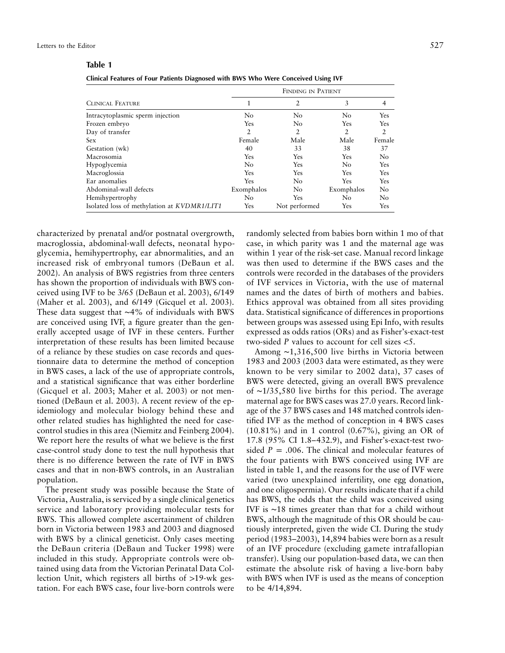| ını |
|-----|

|                                             | FINDING IN PATIENT |                |                |                |  |
|---------------------------------------------|--------------------|----------------|----------------|----------------|--|
| <b>CLINICAL FEATURE</b>                     |                    | $\overline{2}$ | 3              | $\overline{4}$ |  |
| Intracytoplasmic sperm injection            | No                 | No             | N <sub>0</sub> | <b>Yes</b>     |  |
| Frozen embryo                               | Yes                | No             | Yes            | <b>Yes</b>     |  |
| Day of transfer                             | 2                  | 2              | 2              | $\overline{2}$ |  |
| <b>Sex</b>                                  | Female             | Male           | Male           | Female         |  |
| Gestation (wk)                              | 40                 | 33             | 38             | 37             |  |
| Macrosomia                                  | Yes                | Yes            | Yes            | No             |  |
| Hypoglycemia                                | N <sub>o</sub>     | Yes            | N <sub>0</sub> | Yes            |  |
| Macroglossia                                | Yes                | Yes            | Yes            | <b>Yes</b>     |  |
| Ear anomalies                               | Yes                | No             | Yes            | Yes            |  |
| Abdominal-wall defects                      | Exomphalos         | No.            | Exomphalos     | No             |  |
| Hemihypertrophy                             | No                 | <b>Yes</b>     | No             | No             |  |
| Isolated loss of methylation at KVDMR1/LIT1 | Yes                | Not performed  | Yes            | Yes            |  |

characterized by prenatal and/or postnatal overgrowth, macroglossia, abdominal-wall defects, neonatal hypoglycemia, hemihypertrophy, ear abnormalities, and an increased risk of embryonal tumors (DeBaun et al. 2002). An analysis of BWS registries from three centers has shown the proportion of individuals with BWS conceived using IVF to be 3/65 (DeBaun et al. 2003), 6/149 (Maher et al. 2003), and 6/149 (Gicquel et al. 2003). These data suggest that ∼4% of individuals with BWS are conceived using IVF, a figure greater than the generally accepted usage of IVF in these centers. Further interpretation of these results has been limited because of a reliance by these studies on case records and questionnaire data to determine the method of conception in BWS cases, a lack of the use of appropriate controls, and a statistical significance that was either borderline (Gicquel et al. 2003; Maher et al. 2003) or not mentioned (DeBaun et al. 2003). A recent review of the epidemiology and molecular biology behind these and other related studies has highlighted the need for casecontrol studies in this area (Niemitz and Feinberg 2004). We report here the results of what we believe is the first case-control study done to test the null hypothesis that there is no difference between the rate of IVF in BWS cases and that in non-BWS controls, in an Australian population.

The present study was possible because the State of Victoria, Australia, is serviced by a single clinical genetics service and laboratory providing molecular tests for BWS. This allowed complete ascertainment of children born in Victoria between 1983 and 2003 and diagnosed with BWS by a clinical geneticist. Only cases meeting the DeBaun criteria (DeBaun and Tucker 1998) were included in this study. Appropriate controls were obtained using data from the Victorian Perinatal Data Collection Unit, which registers all births of  $>19$ -wk gestation. For each BWS case, four live-born controls were

randomly selected from babies born within 1 mo of that case, in which parity was 1 and the maternal age was within 1 year of the risk-set case. Manual record linkage was then used to determine if the BWS cases and the controls were recorded in the databases of the providers of IVF services in Victoria, with the use of maternal names and the dates of birth of mothers and babies. Ethics approval was obtained from all sites providing data. Statistical significance of differences in proportions between groups was assessed using Epi Info, with results expressed as odds ratios (ORs) and as Fisher's-exact-test two-sided  $P$  values to account for cell sizes  $\lt 5$ .

Among ∼1,316,500 live births in Victoria between 1983 and 2003 (2003 data were estimated, as they were known to be very similar to 2002 data), 37 cases of BWS were detected, giving an overall BWS prevalence of ∼1/35,580 live births for this period. The average maternal age for BWS cases was 27.0 years. Record linkage of the 37 BWS cases and 148 matched controls identified IVF as the method of conception in 4 BWS cases (10.81%) and in 1 control (0.67%), giving an OR of 17.8 (95% CI 1.8–432.9), and Fisher's-exact-test twosided  $P = .006$ . The clinical and molecular features of the four patients with BWS conceived using IVF are listed in table 1, and the reasons for the use of IVF were varied (two unexplained infertility, one egg donation, and one oligospermia). Our results indicate that if a child has BWS, the odds that the child was conceived using IVF is ∼18 times greater than that for a child without BWS, although the magnitude of this OR should be cautiously interpreted, given the wide CI. During the study period (1983–2003), 14,894 babies were born as a result of an IVF procedure (excluding gamete intrafallopian transfer). Using our population-based data, we can then estimate the absolute risk of having a live-born baby with BWS when IVF is used as the means of conception to be 4/14,894.